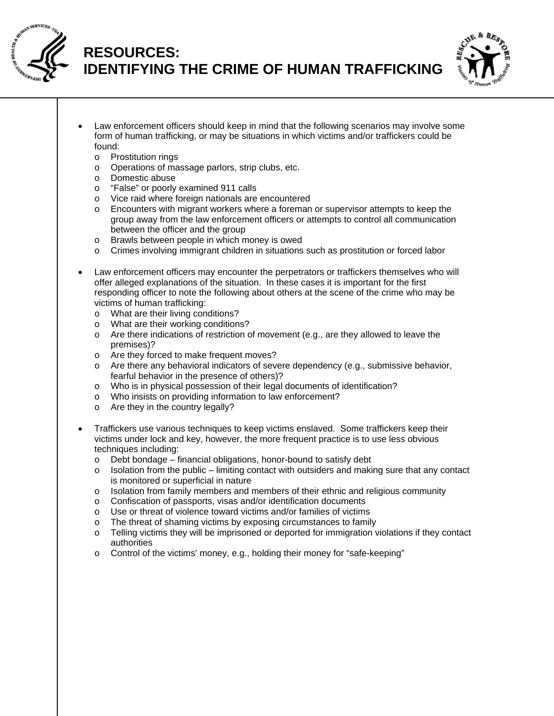

## **RESOURCES: IDENTIFYING THE CRIME OF HUMAN TRAFFICKING**



- Law enforcement officers should keep in mind that the following scenarios may involve some form of human trafficking, or may be situations in which victims and/or traffickers could be found:
	- o Prostitution rings
	- o Operations of massage parlors, strip clubs, etc.
	- o Domestic abuse
	- o "False" or poorly examined 911 calls
	- o Vice raid where foreign nationals are encountered
	- o Encounters with migrant workers where a foreman or supervisor attempts to keep the group away from the law enforcement officers or attempts to control all communication between the officer and the group
	- Brawls between people in which money is owed
	- o Crimes involving immigrant children in situations such as prostitution or forced labor
- Law enforcement officers may encounter the perpetrators or traffickers themselves who will offer alleged explanations of the situation. In these cases it is important for the first responding officer to note the following about others at the scene of the crime who may be victims of human trafficking:
	- o What are their living conditions?
	- o What are their working conditions?
	- $\circ$  Are there indications of restriction of movement (e.g., are they allowed to leave the premises)?
	- o Are they forced to make frequent moves?
	- o Are there any behavioral indicators of severe dependency (e.g., submissive behavior, fearful behavior in the presence of others)?
	- o Who is in physical possession of their legal documents of identification?
	- o Who insists on providing information to law enforcement?
	- o Are they in the country legally?
- Traffickers use various techniques to keep victims enslaved. Some traffickers keep their victims under lock and key, however, the more frequent practice is to use less obvious techniques including:
	- o Debt bondage financial obligations, honor-bound to satisfy debt
	- $\circ$  Isolation from the public limiting contact with outsiders and making sure that any contact is monitored or superficial in nature
	- $\circ$  Isolation from family members and members of their ethnic and religious community
	- o Confiscation of passports, visas and/or identification documents
	- o Use or threat of violence toward victims and/or families of victims
	- o The threat of shaming victims by exposing circumstances to family
	- o Telling victims they will be imprisoned or deported for immigration violations if they contact authorities
	- o Control of the victims' money, e.g., holding their money for "safe-keeping"